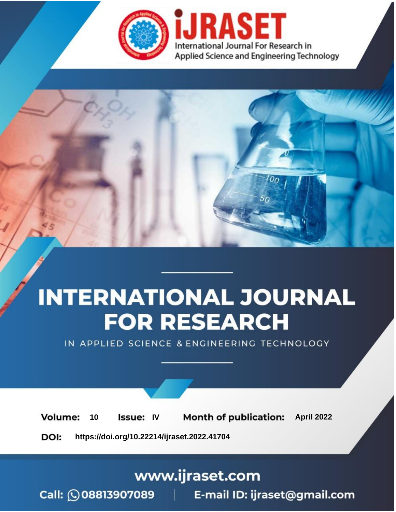

# **INTERNATIONAL JOURNAL FOR RESEARCH**

IN APPLIED SCIENCE & ENGINEERING TECHNOLOGY

10 **Issue: IV Month of publication:** April 2022 **Volume:** 

**https://doi.org/10.22214/ijraset.2022.41704**DOI:

www.ijraset.com

Call: 008813907089 | E-mail ID: ijraset@gmail.com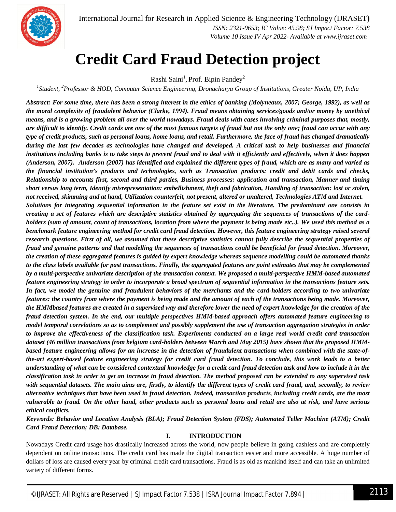

International Journal for Research in Applied Science & Engineering Technology (IJRASET**)**  *ISSN: 2321-9653; IC Value: 45.98; SJ Impact Factor: 7.538 Volume 10 Issue IV Apr 2022- Available at www.ijraset.com*

### **Credit Card Fraud Detection project**

Rashi Saini<sup>1</sup>, Prof. Bipin Pandey<sup>2</sup>

*1 Student, <sup>2</sup>Professor & HOD, Computer Science Engineering, Dronacharya Group of Institutions, Greater Noida, UP, India*

*Abstract: For some time, there has been a strong interest in the ethics of banking (Molyneaux, 2007; George, 1992), as well as the moral complexity of fraudulent behavior (Clarke, 1994). Fraud means obtaining services/goods and/or money by unethical means, and is a growing problem all over the world nowadays. Fraud deals with cases involving criminal purposes that, mostly, are difficult to identify. Credit cards are one of the most famous targets of fraud but not the only one; fraud can occur with any type of credit products, such as personal loans, home loans, and retail. Furthermore, the face of fraud has changed dramatically during the last few decades as technologies have changed and developed. A critical task to help businesses and financial institutions including banks is to take steps to prevent fraud and to deal with it efficiently and effectively, when it does happen (Anderson, 2007). Anderson (2007) has identified and explained the different types of fraud, which are as many and varied as the financial institution's products and technologies, such as Transaction products: credit and debit cards and checks, Relationship to accounts first, second and third parties, Business processes: application and transaction, Manner and timing short versus long term, Identify misrepresentation: embellishment, theft and fabrication, Handling of transaction: lost or stolen, not received, skimming and at hand, Utilization counterfeit, not present, altered or unaltered, Technologies ATM and Internet. Solutions for integrating sequential information in the feature set exist in the literature. The predominant one consists in creating a set of features which are descriptive statistics obtained by aggregating the sequences of transactions of the cardholders (sum of amount, count of transactions, location from where the payment is being made etc..). We used this method as a benchmark feature engineering method for credit card fraud detection. However, this feature engineering strategy raised several research questions. First of all, we assumed that these descriptive statistics cannot fully describe the sequential properties of fraud and genuine patterns and that modelling the sequences of transactions could be beneficial for fraud detection. Moreover, the creation of these aggregated features is guided by expert knowledge whereas sequence modelling could be automated thanks to the class labels available for past transactions. Finally, the aggregated features are point estimates that may be complemented by a multi-perspective univariate description of the transaction context. We proposed a multi-perspective HMM-based automated feature engineering strategy in order to incorporate a broad spectrum of sequential information in the transactions feature sets. In fact, we model the genuine and fraudulent behaviors of the merchants and the card-holders according to two univariate features: the country from where the payment is being made and the amount of each of the transactions being made. Moreover, the HMMbased features are created in a supervised way and therefore lower the need of expert knowledge for the creation of the fraud detection system. In the end, our multiple perspectives HMM-based approach offers automated feature engineering to model temporal correlations so as to complement and possibly supplement the use of transaction aggregation strategies in order to improve the effectiveness of the classification task. Experiments conducted on a large real world credit card transaction dataset (46 million transactions from belgium card-holders between March and May 2015) have shown that the proposed HMMbased feature engineering allows for an increase in the detection of fraudulent transactions when combined with the state-ofthe-art expert-based feature engineering strategy for credit card fraud detection. To conclude, this work leads to a better understanding of what can be considered contextual knowledge for a credit card fraud detection task and how to include it in the classification task in order to get an increase in fraud detection. The method proposed can be extended to any supervised task with sequential datasets. The main aims are, firstly, to identify the different types of credit card fraud, and, secondly, to review alternative techniques that have been used in fraud detection. Indeed, transaction products, including credit cards, are the most vulnerable to fraud. On the other hand, other products such as personal loans and retail are also at risk, and have serious ethical conflicts.*

*Keywords: Behavior and Location Analysis (BLA); Fraud Detection System (FDS); Automated Teller Machine (ATM); Credit Card Fraud Detection; DB: Database.*

#### **I. INTRODUCTION**

Nowadays Credit card usage has drastically increased across the world, now people believe in going cashless and are completely dependent on online transactions. The credit card has made the digital transaction easier and more accessible. A huge number of dollars of loss are caused every year by criminal credit card transactions. Fraud is as old as mankind itself and can take an unlimited variety of different forms.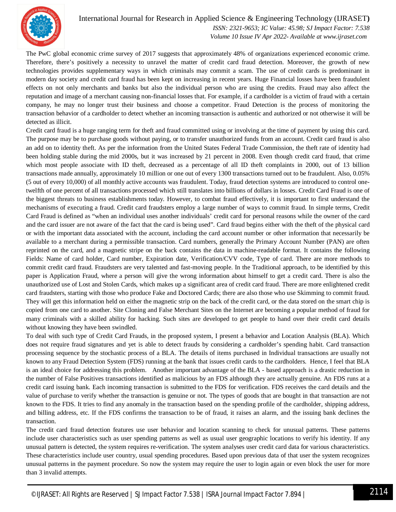

#### International Journal for Research in Applied Science & Engineering Technology (IJRASET**)**  *ISSN: 2321-9653; IC Value: 45.98; SJ Impact Factor: 7.538*

 *Volume 10 Issue IV Apr 2022- Available at www.ijraset.com*

The PwC global economic crime survey of 2017 suggests that approximately 48% of organizations experienced economic crime. Therefore, there's positively a necessity to unravel the matter of credit card fraud detection. Moreover, the growth of new technologies provides supplementary ways in which criminals may commit a scam. The use of credit cards is predominant in modern day society and credit card fraud has been kept on increasing in recent years. Huge Financial losses have been fraudulent effects on not only merchants and banks but also the individual person who are using the credits. Fraud may also affect the reputation and image of a merchant causing non-financial losses that. For example, if a cardholder is a victim of fraud with a certain company, he may no longer trust their business and choose a competitor. Fraud Detection is the process of monitoring the transaction behavior of a cardholder to detect whether an incoming transaction is authentic and authorized or not otherwise it will be detected as illicit.

Credit card fraud is a huge ranging term for theft and fraud committed using or involving at the time of payment by using this card. The purpose may be to purchase goods without paying, or to transfer unauthorized funds from an account. Credit card fraud is also an add on to identity theft. As per the information from the United States Federal Trade Commission, the theft rate of identity had been holding stable during the mid 2000s, but it was increased by 21 percent in 2008. Even though credit card fraud, that crime which most people associate with ID theft, decreased as a percentage of all ID theft complaints in 2000, out of 13 billion transactions made annually, approximately 10 million or one out of every 1300 transactions turned out to be fraudulent. Also, 0.05% (5 out of every 10,000) of all monthly active accounts was fraudulent. Today, fraud detection systems are introduced to control onetwelfth of one percent of all transactions processed which still translates into billions of dollars in losses. Credit Card Fraud is one of the biggest threats to business establishments today. However, to combat fraud effectively, it is important to first understand the mechanisms of executing a fraud. Credit card fraudsters employ a large number of ways to commit fraud. In simple terms, Credit Card Fraud is defined as "when an individual uses another individuals' credit card for personal reasons while the owner of the card and the card issuer are not aware of the fact that the card is being used". Card fraud begins either with the theft of the physical card or with the important data associated with the account, including the card account number or other information that necessarily be available to a merchant during a permissible transaction. Card numbers, generally the Primary Account Number (PAN) are often reprinted on the card, and a magnetic stripe on the back contains the data in machine-readable format. It contains the following Fields: Name of card holder, Card number, Expiration date, Verification/CVV code, Type of card. There are more methods to commit credit card fraud. Fraudsters are very talented and fast-moving people. In the Traditional approach, to be identified by this paper is Application Fraud, where a person will give the wrong information about himself to get a credit card. There is also the unauthorized use of Lost and Stolen Cards, which makes up a significant area of credit card fraud. There are more enlightened credit card fraudsters, starting with those who produce Fake and Doctored Cards; there are also those who use Skimming to commit fraud. They will get this information held on either the magnetic strip on the back of the credit card, or the data stored on the smart chip is copied from one card to another. Site Cloning and False Merchant Sites on the Internet are becoming a popular method of fraud for many criminals with a skilled ability for hacking. Such sites are developed to get people to hand over their credit card details without knowing they have been swindled.

To deal with such type of Credit Card Frauds, in the proposed system, I present a behavior and Location Analysis (BLA). Which does not require fraud signatures and yet is able to detect frauds by considering a cardholder's spending habit. Card transaction processing sequence by the stochastic process of a BLA. The details of items purchased in Individual transactions are usually not known to any Fraud Detection System (FDS) running at the bank that issues credit cards to the cardholders. Hence, I feel that BLA is an ideal choice for addressing this problem. Another important advantage of the BLA - based approach is a drastic reduction in the number of False Positives transactions identified as malicious by an FDS although they are actually genuine. An FDS runs at a credit card issuing bank. Each incoming transaction is submitted to the FDS for verification. FDS receives the card details and the value of purchase to verify whether the transaction is genuine or not. The types of goods that are bought in that transaction are not known to the FDS. It tries to find any anomaly in the transaction based on the spending profile of the cardholder, shipping address, and billing address, etc. If the FDS confirms the transaction to be of fraud, it raises an alarm, and the issuing bank declines the transaction.

The credit card fraud detection features use user behavior and location scanning to check for unusual patterns. These patterns include user characteristics such as user spending patterns as well as usual user geographic locations to verify his identity. If any unusual pattern is detected, the system requires re-verification. The system analyses user credit card data for various characteristics. These characteristics include user country, usual spending procedures. Based upon previous data of that user the system recognizes unusual patterns in the payment procedure. So now the system may require the user to login again or even block the user for more than 3 invalid attempts.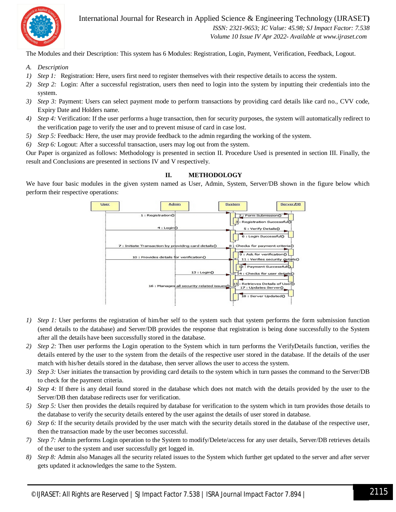

International Journal for Research in Applied Science & Engineering Technology (IJRASET**)**  *ISSN: 2321-9653; IC Value: 45.98; SJ Impact Factor: 7.538 Volume 10 Issue IV Apr 2022- Available at www.ijraset.com*

The Modules and their Description: This system has 6 Modules: Registration, Login, Payment, Verification, Feedback, Logout.

- *A. Description*
- *1) Step 1:* Registration: Here, users first need to register themselves with their respective details to access the system.
- *2) Step 2:* Login: After a successful registration, users then need to login into the system by inputting their credentials into the system.
- *3) Step 3:* Payment: Users can select payment mode to perform transactions by providing card details like card no., CVV code, Expiry Date and Holders name.
- *4) Step 4:* Verification: If the user performs a huge transaction, then for security purposes, the system will automatically redirect to the verification page to verify the user and to prevent misuse of card in case lost.
- *5) Step 5:* Feedback: Here, the user may provide feedback to the admin regarding the working of the system.
- *6) Step 6:* Logout: After a successful transaction, users may log out from the system.

Our Paper is organized as follows: Methodology is presented in section II. Procedure Used is presented in section III. Finally, the result and Conclusions are presented in sections IV and V respectively.

#### **II. METHODOLOGY**

We have four basic modules in the given system named as User, Admin, System, Server/DB shown in the figure below which perform their respective operations:



- *1) Step 1:* User performs the registration of him/her self to the system such that system performs the form submission function (send details to the database) and Server/DB provides the response that registration is being done successfully to the System after all the details have been successfully stored in the database.
- *2) Step 2:* Then user performs the Login operation to the System which in turn performs the VerifyDetails function, verifies the details entered by the user to the system from the details of the respective user stored in the database. If the details of the user match with his/her details stored in the database, then server allows the user to access the system.
- *3) Step 3:* User initiates the transaction by providing card details to the system which in turn passes the command to the Server/DB to check for the payment criteria.
- *4) Step 4:* If there is any detail found stored in the database which does not match with the details provided by the user to the Server/DB then database redirects user for verification.
- *5) Step 5:* User then provides the details required by database for verification to the system which in turn provides those details to the database to verify the security details entered by the user against the details of user stored in database.
- *6) Step 6:* If the security details provided by the user match with the security details stored in the database of the respective user, then the transaction made by the user becomes successful.
- *7) Step 7:* Admin performs Login operation to the System to modify/Delete/access for any user details, Server/DB retrieves details of the user to the system and user successfully get logged in.
- *8) Step 8:* Admin also Manages all the security related issues to the System which further get updated to the server and after server gets updated it acknowledges the same to the System.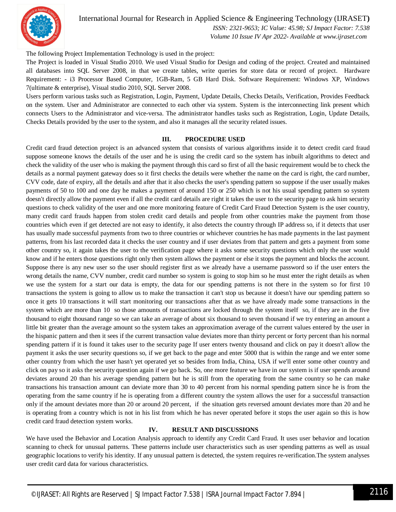

#### International Journal for Research in Applied Science & Engineering Technology (IJRASET**)**

 *ISSN: 2321-9653; IC Value: 45.98; SJ Impact Factor: 7.538 Volume 10 Issue IV Apr 2022- Available at www.ijraset.com*

The following Project Implementation Technology is used in the project:

The Project is loaded in Visual Studio 2010. We used Visual Studio for Design and coding of the project. Created and maintained all databases into SQL Server 2008, in that we create tables, write queries for store data or record of project. Hardware Requirement: - i3 Processor Based Computer, 1GB-Ram, 5 GB Hard Disk. Software Requirement: Windows XP, Windows 7(ultimate & enterprise), Visual studio 2010, SQL Server 2008.

Users perform various tasks such as Registration, Login, Payment, Update Details, Checks Details, Verification, Provides Feedback on the system. User and Administrator are connected to each other via system. System is the interconnecting link present which connects Users to the Administrator and vice-versa. The administrator handles tasks such as Registration, Login, Update Details, Checks Details provided by the user to the system, and also it manages all the security related issues.

#### **III. PROCEDURE USED**

Credit card fraud detection project is an advanced system that consists of various algorithms inside it to detect credit card fraud suppose someone knows the details of the user and he is using the credit card so the system has inbuilt algorithms to detect and check the validity of the user who is making the payment through this card so first of all the basic requirement would be to check the details as a normal payment gateway does so it first checks the details were whether the name on the card is right, the card number, CVV code, date of expiry, all the details and after that it also checks the user's spending pattern so suppose if the user usually makes payments of 50 to 100 and one day he makes a payment of around 150 or 250 which is not his usual spending pattern so system doesn't directly allow the payment even if all the credit card details are right it takes the user to the security page to ask him security questions to check validity of the user and one more monitoring feature of Credit Card Fraud Detection System is the user country, many credit card frauds happen from stolen credit card details and people from other countries make the payment from those countries which even if get detected are not easy to identify, it also detects the country through IP address so, if it detects that user has usually made successful payments from two to three countries or whichever countries he has made payments in the last payment patterns, from his last recorded data it checks the user country and if user deviates from that pattern and gets a payment from some other country so, it again takes the user to the verification page where it asks some security questions which only the user would know and if he enters those questions right only then system allows the payment or else it stops the payment and blocks the account. Suppose there is any new user so the user should register first as we already have a username password so if the user enters the wrong details the name, CVV number, credit card number so system is going to stop him so he must enter the right details as when we use the system for a start our data is empty, the data for our spending patterns is not there in the system so for first 10 transactions the system is going to allow us to make the transaction it can't stop us because it doesn't have our spending pattern so once it gets 10 transactions it will start monitoring our transactions after that as we have already made some transactions in the system which are more than 10 so those amounts of transactions are locked through the system itself so, if they are in the five thousand to eight thousand range so we can take an average of about six thousand to seven thousand if we try entering an amount a little bit greater than the average amount so the system takes an approximation average of the current values entered by the user in the hispanic pattern and then it sees if the current transaction value deviates more than thirty percent or forty percent than his normal spending pattern if it is found it takes user to the security page If user enters twenty thousand and click on pay it doesn't allow the payment it asks the user security questions so, if we get back to the page and enter 5000 that is within the range and we enter some other country from which the user hasn't yet operated yet so besides from India, China, USA if we'll enter some other country and click on pay so it asks the security question again if we go back. So, one more feature we have in our system is if user spends around deviates around 20 than his average spending pattern but he is still from the operating from the same country so he can make transactions his transaction amount can deviate more than 30 to 40 percent from his normal spending pattern since he is from the operating from the same country if he is operating from a different country the system allows the user for a successful transaction only if the amount deviates more than 20 or around 20 percent, if the situation gets reversed amount deviates more than 20 and he is operating from a country which is not in his list from which he has never operated before it stops the user again so this is how credit card fraud detection system works.

#### **IV. RESULT AND DISCUSSIONS**

We have used the Behavior and Location Analysis approach to identify any Credit Card Fraud. It uses user behavior and location scanning to check for unusual patterns. These patterns include user characteristics such as user spending patterns as well as usual geographic locations to verify his identity. If any unusual pattern is detected, the system requires re-verification.The system analyses user credit card data for various characteristics.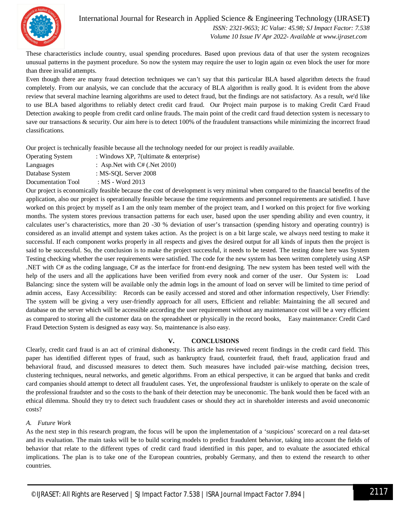

International Journal for Research in Applied Science & Engineering Technology (IJRASET**)**

 *ISSN: 2321-9653; IC Value: 45.98; SJ Impact Factor: 7.538 Volume 10 Issue IV Apr 2022- Available at www.ijraset.com*

These characteristics include country, usual spending procedures. Based upon previous data of that user the system recognizes unusual patterns in the payment procedure. So now the system may require the user to login again oz even block the user for more than three invalid attempts.

Even though there are many fraud detection techniques we can't say that this particular BLA based algorithm detects the fraud completely. From our analysis, we can conclude that the accuracy of BLA algorithm is really good. It is evident from the above review that several machine learning algorithms are used to detect fraud, but the findings are not satisfactory. As a result, we'd like to use BLA based algorithms to reliably detect credit card fraud. Our Project main purpose is to making Credit Card Fraud Detection awaking to people from credit card online frauds. The main point of the credit card fraud detection system is necessary to save our transactions & security. Our aim here is to detect 100% of the fraudulent transactions while minimizing the incorrect fraud classifications.

Our project is technically feasible because all the technology needed for our project is readily available.

- Operating System : Windows XP, 7(ultimate & enterprise)
- Languages : Asp.Net with C# (.Net 2010)

Database System : MS-SQL Server 2008

Documentation Tool : MS - Word 2013

Our project is economically feasible because the cost of development is very minimal when compared to the financial benefits of the application, also our project is operationally feasible because the time requirements and personnel requirements are satisfied. I have worked on this project by myself as I am the only team member of the project team, and I worked on this project for five working months. The system stores previous transaction patterns for each user, based upon the user spending ability and even country, it calculates user's characteristics, more than 20 -30 % deviation of user's transaction (spending history and operating country) is considered as an invalid attempt and system takes action. As the project is on a bit large scale, we always need testing to make it successful. If each component works properly in all respects and gives the desired output for all kinds of inputs then the project is said to be successful. So, the conclusion is to make the project successful, it needs to be tested. The testing done here was System Testing checking whether the user requirements were satisfied. The code for the new system has been written completely using ASP .NET with C# as the coding language, C# as the interface for front-end designing. The new system has been tested well with the help of the users and all the applications have been verified from every nook and corner of the user. Our System is: Load Balancing: since the system will be available only the admin logs in the amount of load on server will be limited to time period of admin access, Easy Accessibility: Records can be easily accessed and stored and other information respectively, User Friendly: The system will be giving a very user-friendly approach for all users, Efficient and reliable: Maintaining the all secured and database on the server which will be accessible according the user requirement without any maintenance cost will be a very efficient as compared to storing all the customer data on the spreadsheet or physically in the record books, Easy maintenance: Credit Card Fraud Detection System is designed as easy way. So, maintenance is also easy.

#### **V. CONCLUSIONS**

Clearly, credit card fraud is an act of criminal dishonesty. This article has reviewed recent findings in the credit card field. This paper has identified different types of fraud, such as bankruptcy fraud, counterfeit fraud, theft fraud, application fraud and behavioral fraud, and discussed measures to detect them. Such measures have included pair-wise matching, decision trees, clustering techniques, neural networks, and genetic algorithms. From an ethical perspective, it can be argued that banks and credit card companies should attempt to detect all fraudulent cases. Yet, the unprofessional fraudster is unlikely to operate on the scale of the professional fraudster and so the costs to the bank of their detection may be uneconomic. The bank would then be faced with an ethical dilemma. Should they try to detect such fraudulent cases or should they act in shareholder interests and avoid uneconomic costs?

#### *A. Future Work*

As the next step in this research program, the focus will be upon the implementation of a 'suspicious' scorecard on a real data-set and its evaluation. The main tasks will be to build scoring models to predict fraudulent behavior, taking into account the fields of behavior that relate to the different types of credit card fraud identified in this paper, and to evaluate the associated ethical implications. The plan is to take one of the European countries, probably Germany, and then to extend the research to other countries.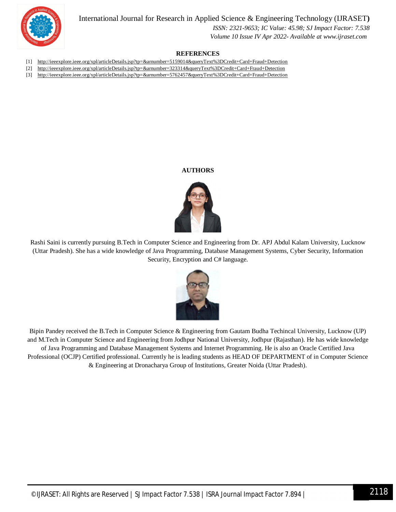International Journal for Research in Applied Science & Engineering Technology (IJRASET**)**



 *ISSN: 2321-9653; IC Value: 45.98; SJ Impact Factor: 7.538 Volume 10 Issue IV Apr 2022- Available at www.ijraset.com*

#### **REFERENCES**

- [1] http://ieeexplore.ieee.org/xpl/articleDetails.jsp?tp=&arnumber=5159014&queryText%3DCredit+Card+Fraud+Detection
- [2] http://ieeexplore.ieee.org/xpl/articleDetails.jsp?tp=&arnumber=323314&queryText%3DCredit+Card+Fraud+Detection
- [3] http://ieeexplore.ieee.org/xpl/articleDetails.jsp?tp=&arnumber=5762457&queryText%3DCredit+Card+Fraud+Detection

#### **AUTHORS**



Rashi Saini is currently pursuing B.Tech in Computer Science and Engineering from Dr. APJ Abdul Kalam University, Lucknow (Uttar Pradesh). She has a wide knowledge of Java Programming, Database Management Systems, Cyber Security, Information Security, Encryption and C# language.



Bipin Pandey received the B.Tech in Computer Science & Engineering from Gautam Budha Techincal University, Lucknow (UP) and M.Tech in Computer Science and Engineering from Jodhpur National University, Jodhpur (Rajasthan). He has wide knowledge of Java Programming and Database Management Systems and Internet Programming. He is also an Oracle Certified Java Professional (OCJP) Certified professional. Currently he is leading students as HEAD OF DEPARTMENT of in Computer Science & Engineering at Dronacharya Group of Institutions, Greater Noida (Uttar Pradesh).